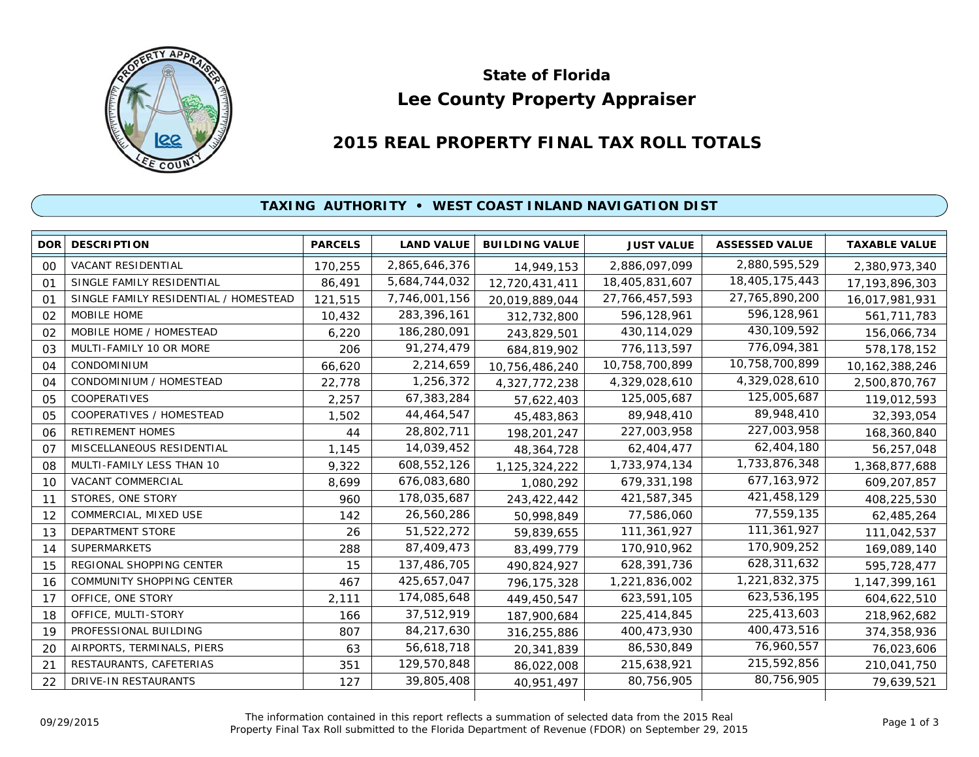

# **Lee County Property Appraiser State of Florida**

# **2015 REAL PROPERTY FINAL TAX ROLL TOTALS**

## **TAXING AUTHORITY • WEST COAST INLAND NAVIGATION DIST**

|                | <b>DOR DESCRIPTION</b>                | <b>PARCELS</b> | <b>LAND VALUE</b> | <b>BUILDING VALUE</b> | <b>JUST VALUE</b> | <b>ASSESSED VALUE</b> | <b>TAXABLE VALUE</b> |
|----------------|---------------------------------------|----------------|-------------------|-----------------------|-------------------|-----------------------|----------------------|
| 00             | VACANT RESIDENTIAL                    | 170,255        | 2,865,646,376     | 14,949,153            | 2,886,097,099     | 2,880,595,529         | 2,380,973,340        |
| O <sub>1</sub> | SINGLE FAMILY RESIDENTIAL             | 86,491         | 5,684,744,032     | 12,720,431,411        | 18,405,831,607    | 18,405,175,443        | 17, 193, 896, 303    |
| O <sub>1</sub> | SINGLE FAMILY RESIDENTIAL / HOMESTEAD | 121,515        | 7,746,001,156     | 20,019,889,044        | 27, 766, 457, 593 | 27,765,890,200        | 16,017,981,931       |
| 02             | MOBILE HOME                           | 10,432         | 283,396,161       | 312,732,800           | 596,128,961       | 596,128,961           | 561,711,783          |
| 02             | MOBILE HOME / HOMESTEAD               | 6,220          | 186,280,091       | 243,829,501           | 430, 114, 029     | 430,109,592           | 156,066,734          |
| 03             | MULTI-FAMILY 10 OR MORE               | 206            | 91,274,479        | 684,819,902           | 776,113,597       | 776,094,381           | 578,178,152          |
| 04             | <b>CONDOMINIUM</b>                    | 66,620         | 2,214,659         | 10,756,486,240        | 10,758,700,899    | 10,758,700,899        | 10, 162, 388, 246    |
| 04             | CONDOMINIUM / HOMESTEAD               | 22,778         | 1,256,372         | 4,327,772,238         | 4,329,028,610     | 4,329,028,610         | 2,500,870,767        |
| 05             | COOPERATIVES                          | 2,257          | 67,383,284        | 57,622,403            | 125,005,687       | 125,005,687           | 119,012,593          |
| 05             | COOPERATIVES / HOMESTEAD              | 1,502          | 44,464,547        | 45,483,863            | 89,948,410        | 89,948,410            | 32,393,054           |
| 06             | <b>RETIREMENT HOMES</b>               | 44             | 28,802,711        | 198,201,247           | 227,003,958       | 227,003,958           | 168,360,840          |
| 07             | MISCELLANEOUS RESIDENTIAL             | 1,145          | 14,039,452        | 48,364,728            | 62,404,477        | 62,404,180            | 56,257,048           |
| 08             | MULTI-FAMILY LESS THAN 10             | 9,322          | 608,552,126       | 1,125,324,222         | 1,733,974,134     | 1,733,876,348         | 1,368,877,688        |
| 10             | VACANT COMMERCIAL                     | 8,699          | 676,083,680       | 1,080,292             | 679,331,198       | 677, 163, 972         | 609,207,857          |
| 11             | STORES, ONE STORY                     | 960            | 178,035,687       | 243,422,442           | 421,587,345       | 421,458,129           | 408,225,530          |
| 12             | COMMERCIAL, MIXED USE                 | 142            | 26,560,286        | 50,998,849            | 77,586,060        | 77,559,135            | 62,485,264           |
| 13             | <b>DEPARTMENT STORE</b>               | 26             | 51,522,272        | 59,839,655            | 111,361,927       | 111,361,927           | 111,042,537          |
| 14             | SUPERMARKETS                          | 288            | 87,409,473        | 83,499,779            | 170,910,962       | 170,909,252           | 169,089,140          |
| 15             | REGIONAL SHOPPING CENTER              | 15             | 137,486,705       | 490,824,927           | 628,391,736       | 628,311,632           | 595,728,477          |
| 16             | COMMUNITY SHOPPING CENTER             | 467            | 425,657,047       | 796,175,328           | 1,221,836,002     | 1,221,832,375         | 1, 147, 399, 161     |
| 17             | OFFICE, ONE STORY                     | 2,111          | 174,085,648       | 449,450,547           | 623,591,105       | 623,536,195           | 604,622,510          |
| 18             | OFFICE, MULTI-STORY                   | 166            | 37,512,919        | 187,900,684           | 225,414,845       | 225,413,603           | 218,962,682          |
| 19             | PROFESSIONAL BUILDING                 | 807            | 84,217,630        | 316,255,886           | 400,473,930       | 400,473,516           | 374,358,936          |
| 20             | AIRPORTS, TERMINALS, PIERS            | 63             | 56,618,718        | 20,341,839            | 86,530,849        | 76,960,557            | 76,023,606           |
| 21             | RESTAURANTS, CAFETERIAS               | 351            | 129,570,848       | 86,022,008            | 215,638,921       | 215,592,856           | 210,041,750          |
| 22             | DRIVE-IN RESTAURANTS                  | 127            | 39,805,408        | 40,951,497            | 80,756,905        | 80,756,905            | 79,639,521           |
|                |                                       |                |                   |                       |                   |                       |                      |

The information contained in this report reflects a summation of selected data from the 2015 Real Ine information contained in this report reflects a summation of selected data from the 2015 Real<br>Property Final Tax Roll submitted to the Florida Department of Revenue (FDOR) on September 29, 2015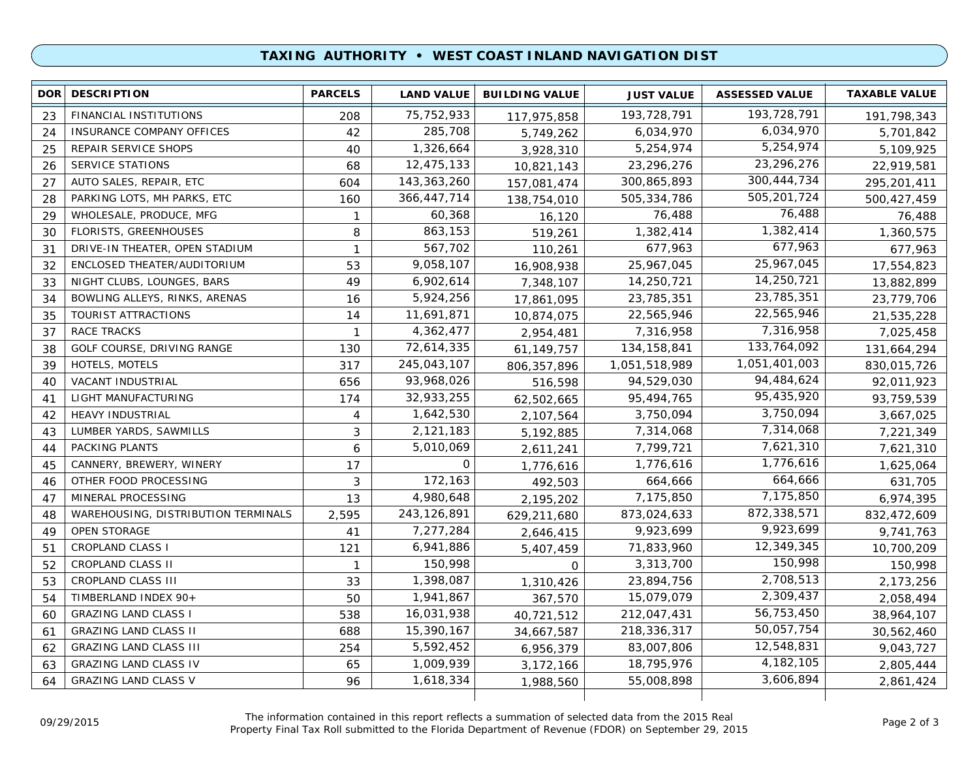### **TAXING AUTHORITY • WEST COAST INLAND NAVIGATION DIST**

| 193,728,791<br>75,752,933<br>193,728,791<br>FINANCIAL INSTITUTIONS<br>23<br>208<br>117,975,858<br>191,798,343<br>6,034,970<br>285,708<br>6,034,970<br>INSURANCE COMPANY OFFICES<br>42<br>24<br>5,749,262<br>5,701,842<br>5,254,974<br>1,326,664<br>5,254,974<br>REPAIR SERVICE SHOPS<br>40<br>5,109,925<br>25<br>3,928,310<br>23,296,276<br>12,475,133<br><b>SERVICE STATIONS</b><br>23,296,276<br>68<br>26<br>10,821,143<br>22,919,581<br>300,444,734<br>143, 363, 260<br>AUTO SALES, REPAIR, ETC<br>300,865,893<br>27<br>604<br>157,081,474<br>295,201,411<br>505,201,724<br>366,447,714<br>PARKING LOTS, MH PARKS, ETC<br>505,334,786<br>28<br>160<br>500,427,459<br>138,754,010<br>76,488<br>60,368<br>WHOLESALE, PRODUCE, MFG<br>76,488<br>29<br>1<br>76,488<br>16,120<br>1,382,414<br>863,153<br><b>FLORISTS, GREENHOUSES</b><br>8<br>1,382,414<br>30<br>519,261<br>1,360,575<br>677,963<br>567,702<br>677,963<br>DRIVE-IN THEATER, OPEN STADIUM<br>31<br>$\mathbf{1}$<br>677,963<br>110,261<br>25,967,045<br>9,058,107<br>25,967,045<br>ENCLOSED THEATER/AUDITORIUM<br>53<br>32<br>17,554,823<br>16,908,938<br>14,250,721<br>NIGHT CLUBS, LOUNGES, BARS<br>6,902,614<br>14,250,721<br>33<br>49<br>13,882,899<br>7,348,107<br>23,785,351<br>5,924,256<br>BOWLING ALLEYS, RINKS, ARENAS<br>23,785,351<br>34<br>16<br>23,779,706<br>17,861,095<br>22,565,946<br>11,691,871<br>TOURIST ATTRACTIONS<br>22,565,946<br>35<br>14<br>21,535,228<br>10,874,075<br>7,316,958<br>4,362,477<br><b>RACE TRACKS</b><br>7,316,958<br>37<br>$\mathbf{1}$<br>7,025,458<br>2,954,481<br>133,764,092<br>72,614,335<br>GOLF COURSE, DRIVING RANGE<br>134, 158, 841<br>38<br>130<br>61,149,757<br>131,664,294<br>1,051,401,003<br>HOTELS, MOTELS<br>245,043,107<br>1,051,518,989<br>39<br>317<br>830,015,726<br>806, 357, 896<br>94,484,624<br><b>VACANT INDUSTRIAL</b><br>93,968,026<br>94,529,030<br>40<br>656<br>92,011,923<br>516,598<br>95,435,920<br>LIGHT MANUFACTURING<br>32,933,255<br>95,494,765<br>174<br>93,759,539<br>41<br>62,502,665<br>3,750,094<br>1,642,530<br>3,750,094<br><b>HEAVY INDUSTRIAL</b><br>$\overline{4}$<br>3,667,025<br>42<br>2,107,564<br>7,314,068<br>LUMBER YARDS, SAWMILLS<br>2,121,183<br>3<br>7,314,068<br>43<br>5,192,885<br>7,221,349<br>7,621,310<br>PACKING PLANTS<br>5,010,069<br>7,799,721<br>6<br>44<br>7,621,310<br>2,611,241<br>1,776,616<br>$\mathbf 0$<br>CANNERY, BREWERY, WINERY<br>1,776,616<br>17<br>45<br>1,625,064<br>1,776,616<br>664,666<br>172,163<br>OTHER FOOD PROCESSING<br>3<br>664,666<br>631,705<br>46<br>492,503<br>7,175,850<br>4,980,648<br>MINERAL PROCESSING<br>13<br>7,175,850<br>6,974,395<br>47<br>2,195,202<br>872,338,571<br>873,024,633<br>WAREHOUSING, DISTRIBUTION TERMINALS<br>2,595<br>243,126,891<br>48<br>832,472,609<br>629,211,680<br>9,923,699<br>OPEN STORAGE<br>7,277,284<br>9,923,699<br>49<br>41<br>9,741,763<br>2,646,415<br>12,349,345<br><b>CROPLAND CLASS I</b><br>6,941,886<br>71,833,960<br>51<br>121<br>10,700,209<br>5,407,459<br>150,998<br>CROPLAND CLASS II<br>150,998<br>3,313,700<br>52<br>$\mathbf{1}$<br>150,998<br>$\Omega$<br>2,708,513<br>CROPLAND CLASS III<br>1,398,087<br>23,894,756<br>53<br>2,173,256<br>33<br>1,310,426<br>2,309,437<br>TIMBERLAND INDEX 90+<br>1,941,867<br>15,079,079<br>54<br>50<br>367,570<br>2,058,494<br>56,753,450<br><b>GRAZING LAND CLASS I</b><br>16,031,938<br>212,047,431<br>538<br>38,964,107<br>60<br>40,721,512<br>50,057,754<br><b>GRAZING LAND CLASS II</b><br>15,390,167<br>218,336,317<br>688<br>30,562,460<br>61<br>34,667,587<br>12,548,831<br>5,592,452<br><b>GRAZING LAND CLASS III</b><br>254<br>83,007,806<br>9,043,727<br>62<br>6,956,379<br>4, 182, 105<br>1,009,939<br><b>GRAZING LAND CLASS IV</b><br>18,795,976<br>65<br>2,805,444<br>63<br>3,172,166<br>3,606,894<br><b>GRAZING LAND CLASS V</b><br>1,618,334<br>55,008,898<br>96<br>64<br>2,861,424<br>1,988,560 | <b>DOR</b> | <b>DESCRIPTION</b> | <b>PARCELS</b> | <b>LAND VALUE</b> | <b>BUILDING VALUE</b> | <b>JUST VALUE</b> | <b>ASSESSED VALUE</b> | <b>TAXABLE VALUE</b> |
|-------------------------------------------------------------------------------------------------------------------------------------------------------------------------------------------------------------------------------------------------------------------------------------------------------------------------------------------------------------------------------------------------------------------------------------------------------------------------------------------------------------------------------------------------------------------------------------------------------------------------------------------------------------------------------------------------------------------------------------------------------------------------------------------------------------------------------------------------------------------------------------------------------------------------------------------------------------------------------------------------------------------------------------------------------------------------------------------------------------------------------------------------------------------------------------------------------------------------------------------------------------------------------------------------------------------------------------------------------------------------------------------------------------------------------------------------------------------------------------------------------------------------------------------------------------------------------------------------------------------------------------------------------------------------------------------------------------------------------------------------------------------------------------------------------------------------------------------------------------------------------------------------------------------------------------------------------------------------------------------------------------------------------------------------------------------------------------------------------------------------------------------------------------------------------------------------------------------------------------------------------------------------------------------------------------------------------------------------------------------------------------------------------------------------------------------------------------------------------------------------------------------------------------------------------------------------------------------------------------------------------------------------------------------------------------------------------------------------------------------------------------------------------------------------------------------------------------------------------------------------------------------------------------------------------------------------------------------------------------------------------------------------------------------------------------------------------------------------------------------------------------------------------------------------------------------------------------------------------------------------------------------------------------------------------------------------------------------------------------------------------------------------------------------------------------------------------------------------------------------------------------------------------------------------------------------------------------------------------------------------------------------------------------------------------------------------------------------------------------------------------------------------------------------------------------------------------------------------------------------------------------------------------------------|------------|--------------------|----------------|-------------------|-----------------------|-------------------|-----------------------|----------------------|
|                                                                                                                                                                                                                                                                                                                                                                                                                                                                                                                                                                                                                                                                                                                                                                                                                                                                                                                                                                                                                                                                                                                                                                                                                                                                                                                                                                                                                                                                                                                                                                                                                                                                                                                                                                                                                                                                                                                                                                                                                                                                                                                                                                                                                                                                                                                                                                                                                                                                                                                                                                                                                                                                                                                                                                                                                                                                                                                                                                                                                                                                                                                                                                                                                                                                                                                                                                                                                                                                                                                                                                                                                                                                                                                                                                                                                                                                                                                   |            |                    |                |                   |                       |                   |                       |                      |
|                                                                                                                                                                                                                                                                                                                                                                                                                                                                                                                                                                                                                                                                                                                                                                                                                                                                                                                                                                                                                                                                                                                                                                                                                                                                                                                                                                                                                                                                                                                                                                                                                                                                                                                                                                                                                                                                                                                                                                                                                                                                                                                                                                                                                                                                                                                                                                                                                                                                                                                                                                                                                                                                                                                                                                                                                                                                                                                                                                                                                                                                                                                                                                                                                                                                                                                                                                                                                                                                                                                                                                                                                                                                                                                                                                                                                                                                                                                   |            |                    |                |                   |                       |                   |                       |                      |
|                                                                                                                                                                                                                                                                                                                                                                                                                                                                                                                                                                                                                                                                                                                                                                                                                                                                                                                                                                                                                                                                                                                                                                                                                                                                                                                                                                                                                                                                                                                                                                                                                                                                                                                                                                                                                                                                                                                                                                                                                                                                                                                                                                                                                                                                                                                                                                                                                                                                                                                                                                                                                                                                                                                                                                                                                                                                                                                                                                                                                                                                                                                                                                                                                                                                                                                                                                                                                                                                                                                                                                                                                                                                                                                                                                                                                                                                                                                   |            |                    |                |                   |                       |                   |                       |                      |
|                                                                                                                                                                                                                                                                                                                                                                                                                                                                                                                                                                                                                                                                                                                                                                                                                                                                                                                                                                                                                                                                                                                                                                                                                                                                                                                                                                                                                                                                                                                                                                                                                                                                                                                                                                                                                                                                                                                                                                                                                                                                                                                                                                                                                                                                                                                                                                                                                                                                                                                                                                                                                                                                                                                                                                                                                                                                                                                                                                                                                                                                                                                                                                                                                                                                                                                                                                                                                                                                                                                                                                                                                                                                                                                                                                                                                                                                                                                   |            |                    |                |                   |                       |                   |                       |                      |
|                                                                                                                                                                                                                                                                                                                                                                                                                                                                                                                                                                                                                                                                                                                                                                                                                                                                                                                                                                                                                                                                                                                                                                                                                                                                                                                                                                                                                                                                                                                                                                                                                                                                                                                                                                                                                                                                                                                                                                                                                                                                                                                                                                                                                                                                                                                                                                                                                                                                                                                                                                                                                                                                                                                                                                                                                                                                                                                                                                                                                                                                                                                                                                                                                                                                                                                                                                                                                                                                                                                                                                                                                                                                                                                                                                                                                                                                                                                   |            |                    |                |                   |                       |                   |                       |                      |
|                                                                                                                                                                                                                                                                                                                                                                                                                                                                                                                                                                                                                                                                                                                                                                                                                                                                                                                                                                                                                                                                                                                                                                                                                                                                                                                                                                                                                                                                                                                                                                                                                                                                                                                                                                                                                                                                                                                                                                                                                                                                                                                                                                                                                                                                                                                                                                                                                                                                                                                                                                                                                                                                                                                                                                                                                                                                                                                                                                                                                                                                                                                                                                                                                                                                                                                                                                                                                                                                                                                                                                                                                                                                                                                                                                                                                                                                                                                   |            |                    |                |                   |                       |                   |                       |                      |
|                                                                                                                                                                                                                                                                                                                                                                                                                                                                                                                                                                                                                                                                                                                                                                                                                                                                                                                                                                                                                                                                                                                                                                                                                                                                                                                                                                                                                                                                                                                                                                                                                                                                                                                                                                                                                                                                                                                                                                                                                                                                                                                                                                                                                                                                                                                                                                                                                                                                                                                                                                                                                                                                                                                                                                                                                                                                                                                                                                                                                                                                                                                                                                                                                                                                                                                                                                                                                                                                                                                                                                                                                                                                                                                                                                                                                                                                                                                   |            |                    |                |                   |                       |                   |                       |                      |
|                                                                                                                                                                                                                                                                                                                                                                                                                                                                                                                                                                                                                                                                                                                                                                                                                                                                                                                                                                                                                                                                                                                                                                                                                                                                                                                                                                                                                                                                                                                                                                                                                                                                                                                                                                                                                                                                                                                                                                                                                                                                                                                                                                                                                                                                                                                                                                                                                                                                                                                                                                                                                                                                                                                                                                                                                                                                                                                                                                                                                                                                                                                                                                                                                                                                                                                                                                                                                                                                                                                                                                                                                                                                                                                                                                                                                                                                                                                   |            |                    |                |                   |                       |                   |                       |                      |
|                                                                                                                                                                                                                                                                                                                                                                                                                                                                                                                                                                                                                                                                                                                                                                                                                                                                                                                                                                                                                                                                                                                                                                                                                                                                                                                                                                                                                                                                                                                                                                                                                                                                                                                                                                                                                                                                                                                                                                                                                                                                                                                                                                                                                                                                                                                                                                                                                                                                                                                                                                                                                                                                                                                                                                                                                                                                                                                                                                                                                                                                                                                                                                                                                                                                                                                                                                                                                                                                                                                                                                                                                                                                                                                                                                                                                                                                                                                   |            |                    |                |                   |                       |                   |                       |                      |
|                                                                                                                                                                                                                                                                                                                                                                                                                                                                                                                                                                                                                                                                                                                                                                                                                                                                                                                                                                                                                                                                                                                                                                                                                                                                                                                                                                                                                                                                                                                                                                                                                                                                                                                                                                                                                                                                                                                                                                                                                                                                                                                                                                                                                                                                                                                                                                                                                                                                                                                                                                                                                                                                                                                                                                                                                                                                                                                                                                                                                                                                                                                                                                                                                                                                                                                                                                                                                                                                                                                                                                                                                                                                                                                                                                                                                                                                                                                   |            |                    |                |                   |                       |                   |                       |                      |
|                                                                                                                                                                                                                                                                                                                                                                                                                                                                                                                                                                                                                                                                                                                                                                                                                                                                                                                                                                                                                                                                                                                                                                                                                                                                                                                                                                                                                                                                                                                                                                                                                                                                                                                                                                                                                                                                                                                                                                                                                                                                                                                                                                                                                                                                                                                                                                                                                                                                                                                                                                                                                                                                                                                                                                                                                                                                                                                                                                                                                                                                                                                                                                                                                                                                                                                                                                                                                                                                                                                                                                                                                                                                                                                                                                                                                                                                                                                   |            |                    |                |                   |                       |                   |                       |                      |
|                                                                                                                                                                                                                                                                                                                                                                                                                                                                                                                                                                                                                                                                                                                                                                                                                                                                                                                                                                                                                                                                                                                                                                                                                                                                                                                                                                                                                                                                                                                                                                                                                                                                                                                                                                                                                                                                                                                                                                                                                                                                                                                                                                                                                                                                                                                                                                                                                                                                                                                                                                                                                                                                                                                                                                                                                                                                                                                                                                                                                                                                                                                                                                                                                                                                                                                                                                                                                                                                                                                                                                                                                                                                                                                                                                                                                                                                                                                   |            |                    |                |                   |                       |                   |                       |                      |
|                                                                                                                                                                                                                                                                                                                                                                                                                                                                                                                                                                                                                                                                                                                                                                                                                                                                                                                                                                                                                                                                                                                                                                                                                                                                                                                                                                                                                                                                                                                                                                                                                                                                                                                                                                                                                                                                                                                                                                                                                                                                                                                                                                                                                                                                                                                                                                                                                                                                                                                                                                                                                                                                                                                                                                                                                                                                                                                                                                                                                                                                                                                                                                                                                                                                                                                                                                                                                                                                                                                                                                                                                                                                                                                                                                                                                                                                                                                   |            |                    |                |                   |                       |                   |                       |                      |
|                                                                                                                                                                                                                                                                                                                                                                                                                                                                                                                                                                                                                                                                                                                                                                                                                                                                                                                                                                                                                                                                                                                                                                                                                                                                                                                                                                                                                                                                                                                                                                                                                                                                                                                                                                                                                                                                                                                                                                                                                                                                                                                                                                                                                                                                                                                                                                                                                                                                                                                                                                                                                                                                                                                                                                                                                                                                                                                                                                                                                                                                                                                                                                                                                                                                                                                                                                                                                                                                                                                                                                                                                                                                                                                                                                                                                                                                                                                   |            |                    |                |                   |                       |                   |                       |                      |
|                                                                                                                                                                                                                                                                                                                                                                                                                                                                                                                                                                                                                                                                                                                                                                                                                                                                                                                                                                                                                                                                                                                                                                                                                                                                                                                                                                                                                                                                                                                                                                                                                                                                                                                                                                                                                                                                                                                                                                                                                                                                                                                                                                                                                                                                                                                                                                                                                                                                                                                                                                                                                                                                                                                                                                                                                                                                                                                                                                                                                                                                                                                                                                                                                                                                                                                                                                                                                                                                                                                                                                                                                                                                                                                                                                                                                                                                                                                   |            |                    |                |                   |                       |                   |                       |                      |
|                                                                                                                                                                                                                                                                                                                                                                                                                                                                                                                                                                                                                                                                                                                                                                                                                                                                                                                                                                                                                                                                                                                                                                                                                                                                                                                                                                                                                                                                                                                                                                                                                                                                                                                                                                                                                                                                                                                                                                                                                                                                                                                                                                                                                                                                                                                                                                                                                                                                                                                                                                                                                                                                                                                                                                                                                                                                                                                                                                                                                                                                                                                                                                                                                                                                                                                                                                                                                                                                                                                                                                                                                                                                                                                                                                                                                                                                                                                   |            |                    |                |                   |                       |                   |                       |                      |
|                                                                                                                                                                                                                                                                                                                                                                                                                                                                                                                                                                                                                                                                                                                                                                                                                                                                                                                                                                                                                                                                                                                                                                                                                                                                                                                                                                                                                                                                                                                                                                                                                                                                                                                                                                                                                                                                                                                                                                                                                                                                                                                                                                                                                                                                                                                                                                                                                                                                                                                                                                                                                                                                                                                                                                                                                                                                                                                                                                                                                                                                                                                                                                                                                                                                                                                                                                                                                                                                                                                                                                                                                                                                                                                                                                                                                                                                                                                   |            |                    |                |                   |                       |                   |                       |                      |
|                                                                                                                                                                                                                                                                                                                                                                                                                                                                                                                                                                                                                                                                                                                                                                                                                                                                                                                                                                                                                                                                                                                                                                                                                                                                                                                                                                                                                                                                                                                                                                                                                                                                                                                                                                                                                                                                                                                                                                                                                                                                                                                                                                                                                                                                                                                                                                                                                                                                                                                                                                                                                                                                                                                                                                                                                                                                                                                                                                                                                                                                                                                                                                                                                                                                                                                                                                                                                                                                                                                                                                                                                                                                                                                                                                                                                                                                                                                   |            |                    |                |                   |                       |                   |                       |                      |
|                                                                                                                                                                                                                                                                                                                                                                                                                                                                                                                                                                                                                                                                                                                                                                                                                                                                                                                                                                                                                                                                                                                                                                                                                                                                                                                                                                                                                                                                                                                                                                                                                                                                                                                                                                                                                                                                                                                                                                                                                                                                                                                                                                                                                                                                                                                                                                                                                                                                                                                                                                                                                                                                                                                                                                                                                                                                                                                                                                                                                                                                                                                                                                                                                                                                                                                                                                                                                                                                                                                                                                                                                                                                                                                                                                                                                                                                                                                   |            |                    |                |                   |                       |                   |                       |                      |
|                                                                                                                                                                                                                                                                                                                                                                                                                                                                                                                                                                                                                                                                                                                                                                                                                                                                                                                                                                                                                                                                                                                                                                                                                                                                                                                                                                                                                                                                                                                                                                                                                                                                                                                                                                                                                                                                                                                                                                                                                                                                                                                                                                                                                                                                                                                                                                                                                                                                                                                                                                                                                                                                                                                                                                                                                                                                                                                                                                                                                                                                                                                                                                                                                                                                                                                                                                                                                                                                                                                                                                                                                                                                                                                                                                                                                                                                                                                   |            |                    |                |                   |                       |                   |                       |                      |
|                                                                                                                                                                                                                                                                                                                                                                                                                                                                                                                                                                                                                                                                                                                                                                                                                                                                                                                                                                                                                                                                                                                                                                                                                                                                                                                                                                                                                                                                                                                                                                                                                                                                                                                                                                                                                                                                                                                                                                                                                                                                                                                                                                                                                                                                                                                                                                                                                                                                                                                                                                                                                                                                                                                                                                                                                                                                                                                                                                                                                                                                                                                                                                                                                                                                                                                                                                                                                                                                                                                                                                                                                                                                                                                                                                                                                                                                                                                   |            |                    |                |                   |                       |                   |                       |                      |
|                                                                                                                                                                                                                                                                                                                                                                                                                                                                                                                                                                                                                                                                                                                                                                                                                                                                                                                                                                                                                                                                                                                                                                                                                                                                                                                                                                                                                                                                                                                                                                                                                                                                                                                                                                                                                                                                                                                                                                                                                                                                                                                                                                                                                                                                                                                                                                                                                                                                                                                                                                                                                                                                                                                                                                                                                                                                                                                                                                                                                                                                                                                                                                                                                                                                                                                                                                                                                                                                                                                                                                                                                                                                                                                                                                                                                                                                                                                   |            |                    |                |                   |                       |                   |                       |                      |
|                                                                                                                                                                                                                                                                                                                                                                                                                                                                                                                                                                                                                                                                                                                                                                                                                                                                                                                                                                                                                                                                                                                                                                                                                                                                                                                                                                                                                                                                                                                                                                                                                                                                                                                                                                                                                                                                                                                                                                                                                                                                                                                                                                                                                                                                                                                                                                                                                                                                                                                                                                                                                                                                                                                                                                                                                                                                                                                                                                                                                                                                                                                                                                                                                                                                                                                                                                                                                                                                                                                                                                                                                                                                                                                                                                                                                                                                                                                   |            |                    |                |                   |                       |                   |                       |                      |
|                                                                                                                                                                                                                                                                                                                                                                                                                                                                                                                                                                                                                                                                                                                                                                                                                                                                                                                                                                                                                                                                                                                                                                                                                                                                                                                                                                                                                                                                                                                                                                                                                                                                                                                                                                                                                                                                                                                                                                                                                                                                                                                                                                                                                                                                                                                                                                                                                                                                                                                                                                                                                                                                                                                                                                                                                                                                                                                                                                                                                                                                                                                                                                                                                                                                                                                                                                                                                                                                                                                                                                                                                                                                                                                                                                                                                                                                                                                   |            |                    |                |                   |                       |                   |                       |                      |
|                                                                                                                                                                                                                                                                                                                                                                                                                                                                                                                                                                                                                                                                                                                                                                                                                                                                                                                                                                                                                                                                                                                                                                                                                                                                                                                                                                                                                                                                                                                                                                                                                                                                                                                                                                                                                                                                                                                                                                                                                                                                                                                                                                                                                                                                                                                                                                                                                                                                                                                                                                                                                                                                                                                                                                                                                                                                                                                                                                                                                                                                                                                                                                                                                                                                                                                                                                                                                                                                                                                                                                                                                                                                                                                                                                                                                                                                                                                   |            |                    |                |                   |                       |                   |                       |                      |
|                                                                                                                                                                                                                                                                                                                                                                                                                                                                                                                                                                                                                                                                                                                                                                                                                                                                                                                                                                                                                                                                                                                                                                                                                                                                                                                                                                                                                                                                                                                                                                                                                                                                                                                                                                                                                                                                                                                                                                                                                                                                                                                                                                                                                                                                                                                                                                                                                                                                                                                                                                                                                                                                                                                                                                                                                                                                                                                                                                                                                                                                                                                                                                                                                                                                                                                                                                                                                                                                                                                                                                                                                                                                                                                                                                                                                                                                                                                   |            |                    |                |                   |                       |                   |                       |                      |
|                                                                                                                                                                                                                                                                                                                                                                                                                                                                                                                                                                                                                                                                                                                                                                                                                                                                                                                                                                                                                                                                                                                                                                                                                                                                                                                                                                                                                                                                                                                                                                                                                                                                                                                                                                                                                                                                                                                                                                                                                                                                                                                                                                                                                                                                                                                                                                                                                                                                                                                                                                                                                                                                                                                                                                                                                                                                                                                                                                                                                                                                                                                                                                                                                                                                                                                                                                                                                                                                                                                                                                                                                                                                                                                                                                                                                                                                                                                   |            |                    |                |                   |                       |                   |                       |                      |
|                                                                                                                                                                                                                                                                                                                                                                                                                                                                                                                                                                                                                                                                                                                                                                                                                                                                                                                                                                                                                                                                                                                                                                                                                                                                                                                                                                                                                                                                                                                                                                                                                                                                                                                                                                                                                                                                                                                                                                                                                                                                                                                                                                                                                                                                                                                                                                                                                                                                                                                                                                                                                                                                                                                                                                                                                                                                                                                                                                                                                                                                                                                                                                                                                                                                                                                                                                                                                                                                                                                                                                                                                                                                                                                                                                                                                                                                                                                   |            |                    |                |                   |                       |                   |                       |                      |
|                                                                                                                                                                                                                                                                                                                                                                                                                                                                                                                                                                                                                                                                                                                                                                                                                                                                                                                                                                                                                                                                                                                                                                                                                                                                                                                                                                                                                                                                                                                                                                                                                                                                                                                                                                                                                                                                                                                                                                                                                                                                                                                                                                                                                                                                                                                                                                                                                                                                                                                                                                                                                                                                                                                                                                                                                                                                                                                                                                                                                                                                                                                                                                                                                                                                                                                                                                                                                                                                                                                                                                                                                                                                                                                                                                                                                                                                                                                   |            |                    |                |                   |                       |                   |                       |                      |
|                                                                                                                                                                                                                                                                                                                                                                                                                                                                                                                                                                                                                                                                                                                                                                                                                                                                                                                                                                                                                                                                                                                                                                                                                                                                                                                                                                                                                                                                                                                                                                                                                                                                                                                                                                                                                                                                                                                                                                                                                                                                                                                                                                                                                                                                                                                                                                                                                                                                                                                                                                                                                                                                                                                                                                                                                                                                                                                                                                                                                                                                                                                                                                                                                                                                                                                                                                                                                                                                                                                                                                                                                                                                                                                                                                                                                                                                                                                   |            |                    |                |                   |                       |                   |                       |                      |
|                                                                                                                                                                                                                                                                                                                                                                                                                                                                                                                                                                                                                                                                                                                                                                                                                                                                                                                                                                                                                                                                                                                                                                                                                                                                                                                                                                                                                                                                                                                                                                                                                                                                                                                                                                                                                                                                                                                                                                                                                                                                                                                                                                                                                                                                                                                                                                                                                                                                                                                                                                                                                                                                                                                                                                                                                                                                                                                                                                                                                                                                                                                                                                                                                                                                                                                                                                                                                                                                                                                                                                                                                                                                                                                                                                                                                                                                                                                   |            |                    |                |                   |                       |                   |                       |                      |
|                                                                                                                                                                                                                                                                                                                                                                                                                                                                                                                                                                                                                                                                                                                                                                                                                                                                                                                                                                                                                                                                                                                                                                                                                                                                                                                                                                                                                                                                                                                                                                                                                                                                                                                                                                                                                                                                                                                                                                                                                                                                                                                                                                                                                                                                                                                                                                                                                                                                                                                                                                                                                                                                                                                                                                                                                                                                                                                                                                                                                                                                                                                                                                                                                                                                                                                                                                                                                                                                                                                                                                                                                                                                                                                                                                                                                                                                                                                   |            |                    |                |                   |                       |                   |                       |                      |
|                                                                                                                                                                                                                                                                                                                                                                                                                                                                                                                                                                                                                                                                                                                                                                                                                                                                                                                                                                                                                                                                                                                                                                                                                                                                                                                                                                                                                                                                                                                                                                                                                                                                                                                                                                                                                                                                                                                                                                                                                                                                                                                                                                                                                                                                                                                                                                                                                                                                                                                                                                                                                                                                                                                                                                                                                                                                                                                                                                                                                                                                                                                                                                                                                                                                                                                                                                                                                                                                                                                                                                                                                                                                                                                                                                                                                                                                                                                   |            |                    |                |                   |                       |                   |                       |                      |
|                                                                                                                                                                                                                                                                                                                                                                                                                                                                                                                                                                                                                                                                                                                                                                                                                                                                                                                                                                                                                                                                                                                                                                                                                                                                                                                                                                                                                                                                                                                                                                                                                                                                                                                                                                                                                                                                                                                                                                                                                                                                                                                                                                                                                                                                                                                                                                                                                                                                                                                                                                                                                                                                                                                                                                                                                                                                                                                                                                                                                                                                                                                                                                                                                                                                                                                                                                                                                                                                                                                                                                                                                                                                                                                                                                                                                                                                                                                   |            |                    |                |                   |                       |                   |                       |                      |
|                                                                                                                                                                                                                                                                                                                                                                                                                                                                                                                                                                                                                                                                                                                                                                                                                                                                                                                                                                                                                                                                                                                                                                                                                                                                                                                                                                                                                                                                                                                                                                                                                                                                                                                                                                                                                                                                                                                                                                                                                                                                                                                                                                                                                                                                                                                                                                                                                                                                                                                                                                                                                                                                                                                                                                                                                                                                                                                                                                                                                                                                                                                                                                                                                                                                                                                                                                                                                                                                                                                                                                                                                                                                                                                                                                                                                                                                                                                   |            |                    |                |                   |                       |                   |                       |                      |